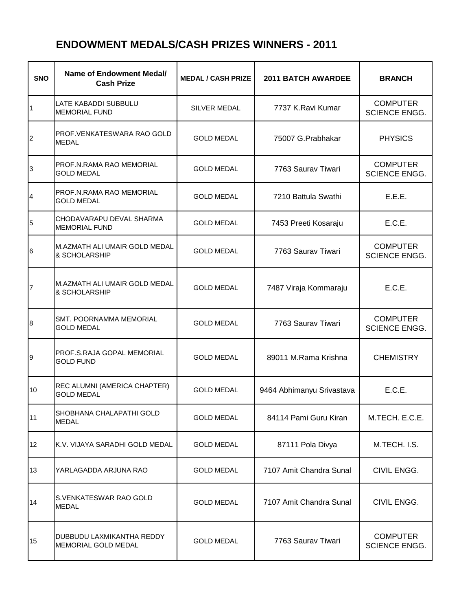## **ENDOWMENT MEDALS/CASH PRIZES WINNERS - 2011**

| <b>SNO</b>     | <b>Name of Endowment Medal/</b><br><b>Cash Prize</b> | <b>MEDAL / CASH PRIZE</b> | <b>2011 BATCH AWARDEE</b> | <b>BRANCH</b>                           |
|----------------|------------------------------------------------------|---------------------------|---------------------------|-----------------------------------------|
| 1              | LATE KABADDI SUBBULU<br><b>MEMORIAL FUND</b>         | <b>SILVER MEDAL</b>       | 7737 K.Ravi Kumar         | <b>COMPUTER</b><br><b>SCIENCE ENGG.</b> |
| $\overline{2}$ | PROF. VENKATESWARA RAO GOLD<br><b>MEDAL</b>          | <b>GOLD MEDAL</b>         | 75007 G.Prabhakar         | <b>PHYSICS</b>                          |
| 3              | PROF.N.RAMA RAO MEMORIAL<br><b>GOLD MEDAL</b>        | <b>GOLD MEDAL</b>         | 7763 Saurav Tiwari        | <b>COMPUTER</b><br>SCIENCE ENGG.        |
| 4              | PROF.N.RAMA RAO MEMORIAL<br><b>GOLD MEDAL</b>        | <b>GOLD MEDAL</b>         | 7210 Battula Swathi       | E.E.E.                                  |
| 5              | CHODAVARAPU DEVAL SHARMA<br><b>MEMORIAL FUND</b>     | <b>GOLD MEDAL</b>         | 7453 Preeti Kosaraju      | E.C.E.                                  |
| 6              | M.AZMATH ALI UMAIR GOLD MEDAL<br>& SCHOLARSHIP       | <b>GOLD MEDAL</b>         | 7763 Saurav Tiwari        | <b>COMPUTER</b><br><b>SCIENCE ENGG.</b> |
| $\overline{7}$ | M.AZMATH ALI UMAIR GOLD MEDAL<br>& SCHOLARSHIP       | <b>GOLD MEDAL</b>         | 7487 Viraja Kommaraju     | E.C.E.                                  |
| 8              | <b>SMT. POORNAMMA MEMORIAL</b><br><b>GOLD MEDAL</b>  | <b>GOLD MEDAL</b>         | 7763 Saurav Tiwari        | <b>COMPUTER</b><br>SCIENCE ENGG.        |
| 9              | PROF.S.RAJA GOPAL MEMORIAL<br><b>GOLD FUND</b>       | <b>GOLD MEDAL</b>         | 89011 M.Rama Krishna      | <b>CHEMISTRY</b>                        |
| 10             | REC ALUMNI (AMERICA CHAPTER)<br><b>GOLD MEDAL</b>    | <b>GOLD MEDAL</b>         | 9464 Abhimanyu Srivastava | E.C.E.                                  |
| 11             | SHOBHANA CHALAPATHI GOLD<br>MEDAL                    | <b>GOLD MEDAL</b>         | 84114 Pami Guru Kiran     | M.TECH. E.C.E.                          |
| 12             | K.V. VIJAYA SARADHI GOLD MEDAL                       | <b>GOLD MEDAL</b>         | 87111 Pola Divya          | M.TECH. I.S.                            |
| 13             | YARLAGADDA ARJUNA RAO                                | <b>GOLD MEDAL</b>         | 7107 Amit Chandra Sunal   | CIVIL ENGG.                             |
| 14             | S.VENKATESWAR RAO GOLD<br>MEDAL                      | <b>GOLD MEDAL</b>         | 7107 Amit Chandra Sunal   | CIVIL ENGG.                             |
| 15             | DUBBUDU LAXMIKANTHA REDDY<br>MEMORIAL GOLD MEDAL     | <b>GOLD MEDAL</b>         | 7763 Saurav Tiwari        | <b>COMPUTER</b><br>SCIENCE ENGG.        |